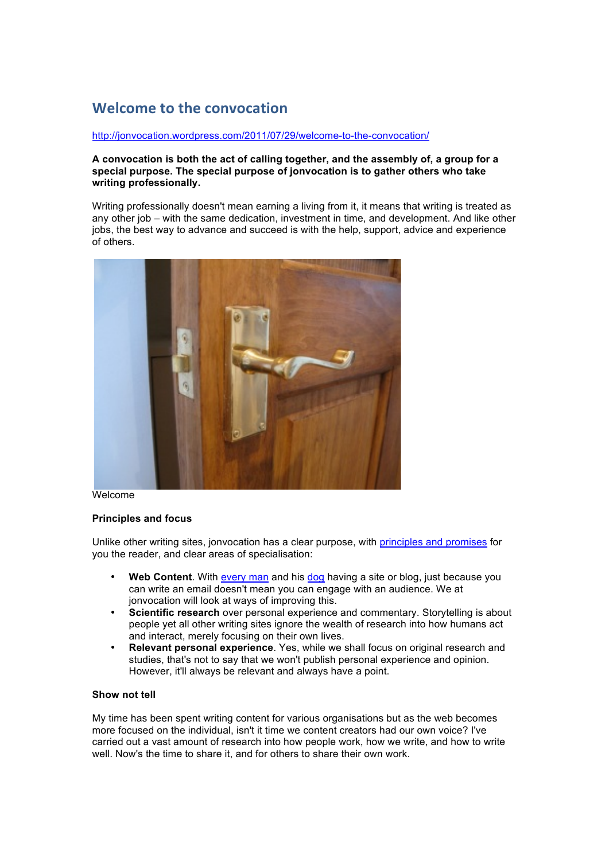# **Welcome'to'the'convocation**

#### http://jonvocation.wordpress.com/2011/07/29/welcome-to-the-convocation/

#### **A convocation is both the act of calling together, and the assembly of, a group for a special purpose. The special purpose of jonvocation is to gather others who take writing professionally.**

Writing professionally doesn't mean earning a living from it, it means that writing is treated as any other job – with the same dedication, investment in time, and development. And like other jobs, the best way to advance and succeed is with the help, support, advice and experience of others.



#### **Welcome**

#### **Principles and focus**

Unlike other writing sites, jonvocation has a clear purpose, with principles and promises for you the reader, and clear areas of specialisation:

- **Web Content**. With every man and his dog having a site or blog, just because you can write an email doesn't mean you can engage with an audience. We at jonvocation will look at ways of improving this.
- **Scientific research** over personal experience and commentary. Storytelling is about people yet all other writing sites ignore the wealth of research into how humans act and interact, merely focusing on their own lives.
- **Relevant personal experience**. Yes, while we shall focus on original research and studies, that's not to say that we won't publish personal experience and opinion. However, it'll always be relevant and always have a point.

### **Show not tell**

My time has been spent writing content for various organisations but as the web becomes more focused on the individual, isn't it time we content creators had our own voice? I've carried out a vast amount of research into how people work, how we write, and how to write well. Now's the time to share it, and for others to share their own work.